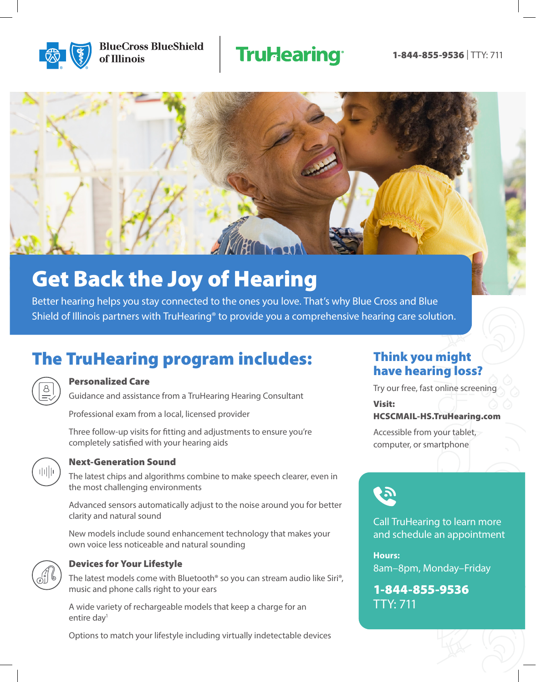## **Trul-learing\***



**BlueCross BlueShield** of Illinois



## Get Back the Joy of Hearing

Better hearing helps you stay connected to the ones you love. That's why Blue Cross and Blue Shield of Illinois partners with TruHearing<sup>®</sup> to provide you a comprehensive hearing care solution.

## The TruHearing program includes:



#### Personalized Care

Guidance and assistance from a TruHearing Hearing Consultant

Professional exam from a local, licensed provider

Three follow-up visits for fitting and adjustments to ensure you're completely satisfied with your hearing aids



#### Next-Generation Sound

The latest chips and algorithms combine to make speech clearer, even in the most challenging environments

Advanced sensors automatically adjust to the noise around you for better clarity and natural sound

New models include sound enhancement technology that makes your own voice less noticeable and natural sounding



#### Devices for Your Lifestyle

The latest models come with Bluetooth® so you can stream audio like Siri®, music and phone calls right to your ears

A wide variety of rechargeable models that keep a charge for an entire day<sup>1</sup>

Options to match your lifestyle including virtually indetectable devices

### Think you might have hearing loss?

Try our free, fast online screening

Visit:

#### HCSCMAIL-HS.TruHearing.com

Accessible from your tablet, computer, or smartphone



Call TruHearing to learn more and schedule an appointment

**Hours:** 8am–8pm, Monday–Friday

1-844-855-9536 TTY: 711